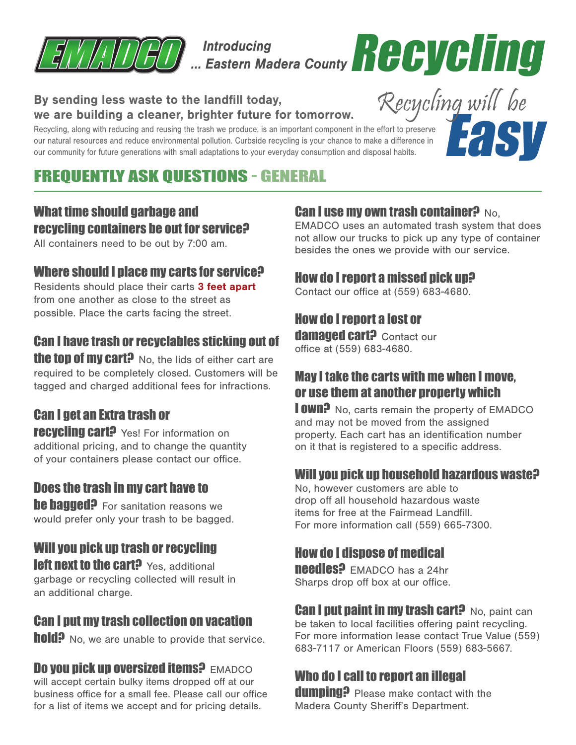

Introducing<br>... Eastern Madera County **Recycling** 

#### By sending less waste to the landfill today, we are building a cleaner, brighter future for tomorrow.

Recycling, along with reducing and reusing the trash we produce, is an important component in the effort to preserve our natural resources and reduce environmental pollution. Curbside recycling is your chance to make a difference in our community for future generations with small adaptations to your everyday consumption and disposal habits.



# FREQUENTLY ASK QUESTIONS - GENERAL

## What time should garbage and recycling containers be out for service?

All containers need to be out by 7:00 am.

#### Where should I place my carts for service?

Residents should place their carts 3 feet apart from one another as close to the street as possible. Place the carts facing the street.

## Can I have trash or recyclables sticking out of

**the top of my cart?** No, the lids of either cart are required to be completely closed. Customers will be tagged and charged additional fees for infractions.

## Can I get an Extra trash or

**recycling cart?** Yes! For information on additional pricing, and to change the quantity of your containers please contact our office.

#### Does the trash in my cart have to

**he hagged?** For sanitation reasons we would prefer only your trash to be bagged.

## Will you pick up trash or recycling

left next to the cart? Yes, additional garbage or recycling collected will result in an additional charge.

## Can I put my trash collection on vacation

**hold?** No, we are unable to provide that service.

**Do you pick up oversized items? EMADCO** will accept certain bulky items dropped off at our business office for a small fee. Please call our office for a list of items we accept and for pricing details.

## **Can I use my own trash container?** No.

EMADCO uses an automated trash system that does not allow our trucks to pick up any type of container besides the ones we provide with our service.

#### How do I report a missed pick up?

Contact our office at (559) 683-4680.

## How do I report a lost or

damaged cart? Contact our office at (559) 683-4680.

## May I take the carts with me when I move, or use them at another property which

**I OWN?** No. carts remain the property of EMADCO and may not be moved from the assigned property. Each cart has an identification number on it that is registered to a specific address.

#### Will you pick up household hazardous waste?

No, however customers are able to drop off all household hazardous waste items for free at the Fairmead Landfill. For more information call (559) 665-7300.

## How do I dispose of medical

**needles?** EMADCO has a 24hr Sharps drop off box at our office.

**Can I put paint in my trash cart?** No. paint can be taken to local facilities offering paint recycling. For more information lease contact True Value (559) 683-7117 or American Floors (559) 683-5667.

## Who do I call to report an illegal

dumning? Please make contact with the Madera County Sheriff's Department.